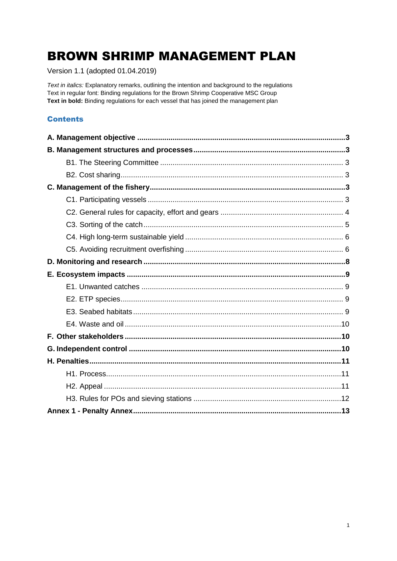# **BROWN SHRIMP MANAGEMENT PLAN**

Version 1.1 (adopted 01.04.2019)

Text in italics: Explanatory remarks, outlining the intention and background to the regulations Text in regular font: Binding regulations for the Brown Shrimp Cooperative MSC Group Text in bold: Binding regulations for each vessel that has joined the management plan

## **Contents**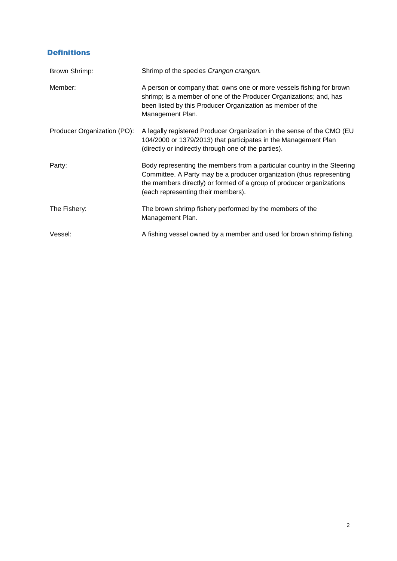# Definitions

| Brown Shrimp:               | Shrimp of the species Crangon crangon.                                                                                                                                                                                                                        |
|-----------------------------|---------------------------------------------------------------------------------------------------------------------------------------------------------------------------------------------------------------------------------------------------------------|
| Member:                     | A person or company that: owns one or more vessels fishing for brown<br>shrimp; is a member of one of the Producer Organizations; and, has<br>been listed by this Producer Organization as member of the<br>Management Plan.                                  |
| Producer Organization (PO): | A legally registered Producer Organization in the sense of the CMO (EU<br>104/2000 or 1379/2013) that participates in the Management Plan<br>(directly or indirectly through one of the parties).                                                             |
| Party:                      | Body representing the members from a particular country in the Steering<br>Committee. A Party may be a producer organization (thus representing<br>the members directly) or formed of a group of producer organizations<br>(each representing their members). |
| The Fishery:                | The brown shrimp fishery performed by the members of the<br>Management Plan.                                                                                                                                                                                  |
| Vessel:                     | A fishing vessel owned by a member and used for brown shrimp fishing.                                                                                                                                                                                         |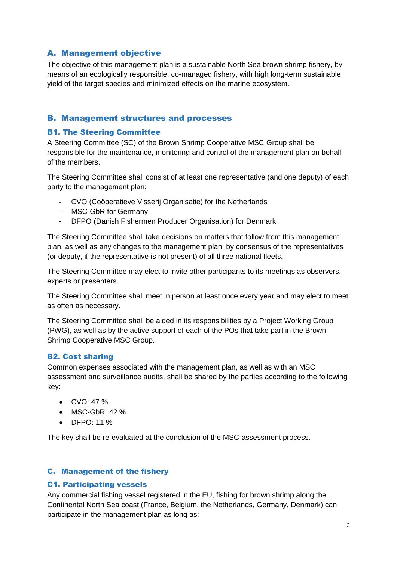# <span id="page-2-0"></span>A. Management objective

The objective of this management plan is a sustainable North Sea brown shrimp fishery, by means of an ecologically responsible, co-managed fishery, with high long-term sustainable yield of the target species and minimized effects on the marine ecosystem.

#### <span id="page-2-1"></span>B. Management structures and processes

#### <span id="page-2-2"></span>B1. The Steering Committee

A Steering Committee (SC) of the Brown Shrimp Cooperative MSC Group shall be responsible for the maintenance, monitoring and control of the management plan on behalf of the members.

The Steering Committee shall consist of at least one representative (and one deputy) of each party to the management plan:

- CVO (Coöperatieve Visserij Organisatie) for the Netherlands
- MSC-GbR for Germany
- DFPO (Danish Fishermen Producer Organisation) for Denmark

The Steering Committee shall take decisions on matters that follow from this management plan, as well as any changes to the management plan, by consensus of the representatives (or deputy, if the representative is not present) of all three national fleets.

The Steering Committee may elect to invite other participants to its meetings as observers, experts or presenters.

The Steering Committee shall meet in person at least once every year and may elect to meet as often as necessary.

The Steering Committee shall be aided in its responsibilities by a Project Working Group (PWG), as well as by the active support of each of the POs that take part in the Brown Shrimp Cooperative MSC Group.

#### <span id="page-2-3"></span>B2. Cost sharing

Common expenses associated with the management plan, as well as with an MSC assessment and surveillance audits, shall be shared by the parties according to the following key:

- $\bullet$  CVO: 47 %
- $\bullet$  MSC-GbR: 42 %
- DFPO: 11 %

The key shall be re-evaluated at the conclusion of the MSC-assessment process.

#### <span id="page-2-4"></span>C. Management of the fishery

#### <span id="page-2-5"></span>C1. Participating vessels

Any commercial fishing vessel registered in the EU, fishing for brown shrimp along the Continental North Sea coast (France, Belgium, the Netherlands, Germany, Denmark) can participate in the management plan as long as: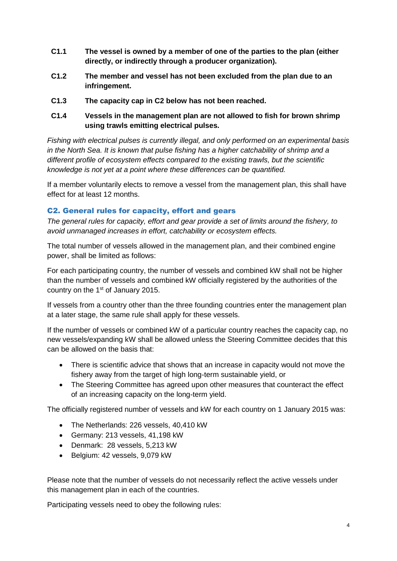- **C1.1 The vessel is owned by a member of one of the parties to the plan (either directly, or indirectly through a producer organization).**
- **C1.2 The member and vessel has not been excluded from the plan due to an infringement.**
- **C1.3 The capacity cap in C2 below has not been reached.**
- **C1.4 Vessels in the management plan are not allowed to fish for brown shrimp using trawls emitting electrical pulses.**

*Fishing with electrical pulses is currently illegal, and only performed on an experimental basis in the North Sea. It is known that pulse fishing has a higher catchability of shrimp and a different profile of ecosystem effects compared to the existing trawls, but the scientific knowledge is not yet at a point where these differences can be quantified.*

If a member voluntarily elects to remove a vessel from the management plan, this shall have effect for at least 12 months.

#### <span id="page-3-0"></span>C2. General rules for capacity, effort and gears

*The general rules for capacity, effort and gear provide a set of limits around the fishery, to avoid unmanaged increases in effort, catchability or ecosystem effects.*

The total number of vessels allowed in the management plan, and their combined engine power, shall be limited as follows:

For each participating country, the number of vessels and combined kW shall not be higher than the number of vessels and combined kW officially registered by the authorities of the country on the  $1<sup>st</sup>$  of January 2015.

If vessels from a country other than the three founding countries enter the management plan at a later stage, the same rule shall apply for these vessels.

If the number of vessels or combined kW of a particular country reaches the capacity cap, no new vessels/expanding kW shall be allowed unless the Steering Committee decides that this can be allowed on the basis that:

- There is scientific advice that shows that an increase in capacity would not move the fishery away from the target of high long-term sustainable yield, or
- The Steering Committee has agreed upon other measures that counteract the effect of an increasing capacity on the long-term yield.

The officially registered number of vessels and kW for each country on 1 January 2015 was:

- The Netherlands: 226 vessels, 40,410 kW
- Germany: 213 vessels, 41,198 kW
- Denmark: 28 vessels, 5,213 kW
- Belgium: 42 vessels, 9,079 kW

Please note that the number of vessels do not necessarily reflect the active vessels under this management plan in each of the countries.

Participating vessels need to obey the following rules: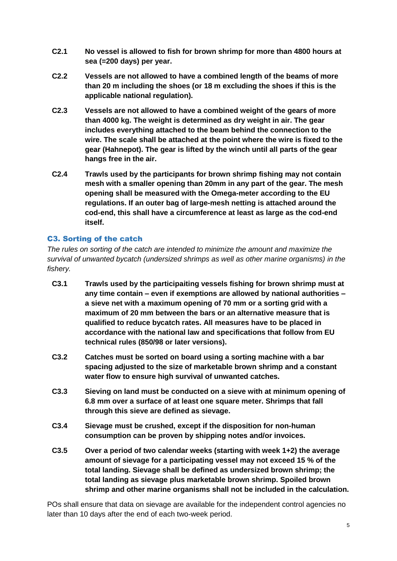- **C2.1 No vessel is allowed to fish for brown shrimp for more than 4800 hours at sea (=200 days) per year.**
- **C2.2 Vessels are not allowed to have a combined length of the beams of more than 20 m including the shoes (or 18 m excluding the shoes if this is the applicable national regulation).**
- **C2.3 Vessels are not allowed to have a combined weight of the gears of more than 4000 kg. The weight is determined as dry weight in air. The gear includes everything attached to the beam behind the connection to the wire. The scale shall be attached at the point where the wire is fixed to the gear (Hahnepot). The gear is lifted by the winch until all parts of the gear hangs free in the air.**
- **C2.4 Trawls used by the participants for brown shrimp fishing may not contain mesh with a smaller opening than 20mm in any part of the gear. The mesh opening shall be measured with the Omega-meter according to the EU regulations. If an outer bag of large-mesh netting is attached around the cod-end, this shall have a circumference at least as large as the cod-end itself.**

# <span id="page-4-0"></span>C3. Sorting of the catch

*The rules on sorting of the catch are intended to minimize the amount and maximize the survival of unwanted bycatch (undersized shrimps as well as other marine organisms) in the fishery.*

- **C3.1 Trawls used by the participaiting vessels fishing for brown shrimp must at any time contain – even if exemptions are allowed by national authorities – a sieve net with a maximum opening of 70 mm or a sorting grid with a maximum of 20 mm between the bars or an alternative measure that is qualified to reduce bycatch rates. All measures have to be placed in accordance with the national law and specifications that follow from EU technical rules (850/98 or later versions).**
- **C3.2 Catches must be sorted on board using a sorting machine with a bar spacing adjusted to the size of marketable brown shrimp and a constant water flow to ensure high survival of unwanted catches.**
- **C3.3 Sieving on land must be conducted on a sieve with at minimum opening of 6.8 mm over a surface of at least one square meter. Shrimps that fall through this sieve are defined as sievage.**
- **C3.4 Sievage must be crushed, except if the disposition for non-human consumption can be proven by shipping notes and/or invoices.**
- **C3.5 Over a period of two calendar weeks (starting with week 1+2) the average amount of sievage for a participating vessel may not exceed 15 % of the total landing. Sievage shall be defined as undersized brown shrimp; the total landing as sievage plus marketable brown shrimp. Spoiled brown shrimp and other marine organisms shall not be included in the calculation.**

POs shall ensure that data on sievage are available for the independent control agencies no later than 10 days after the end of each two-week period.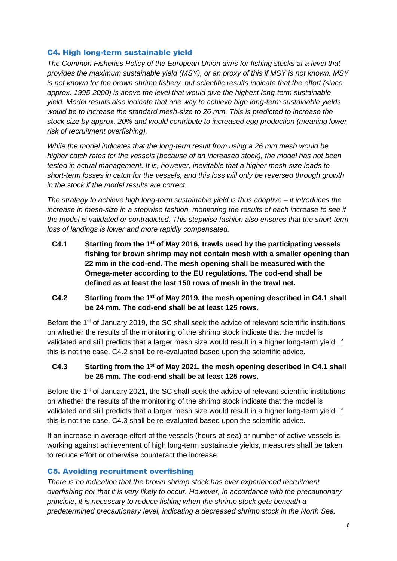#### <span id="page-5-0"></span>C4. High long-term sustainable yield

*The Common Fisheries Policy of the European Union aims for fishing stocks at a level that provides the maximum sustainable yield (MSY), or an proxy of this if MSY is not known. MSY is not known for the brown shrimp fishery, but scientific results indicate that the effort (since approx. 1995-2000) is above the level that would give the highest long-term sustainable yield. Model results also indicate that one way to achieve high long-term sustainable yields would be to increase the standard mesh-size to 26 mm. This is predicted to increase the stock size by approx. 20% and would contribute to increased egg production (meaning lower risk of recruitment overfishing).*

*While the model indicates that the long-term result from using a 26 mm mesh would be higher catch rates for the vessels (because of an increased stock), the model has not been tested in actual management. It is, however, inevitable that a higher mesh-size leads to short-term losses in catch for the vessels, and this loss will only be reversed through growth in the stock if the model results are correct.*

*The strategy to achieve high long-term sustainable yield is thus adaptive – it introduces the increase in mesh-size in a stepwise fashion, monitoring the results of each increase to see if the model is validated or contradicted. This stepwise fashion also ensures that the short-term loss of landings is lower and more rapidly compensated.*

**C4.1 Starting from the 1 st of May 2016, trawls used by the participating vessels fishing for brown shrimp may not contain mesh with a smaller opening than 22 mm in the cod-end. The mesh opening shall be measured with the Omega-meter according to the EU regulations. The cod-end shall be defined as at least the last 150 rows of mesh in the trawl net.** 

## **C4.2 Starting from the 1 st of May 2019, the mesh opening described in C4.1 shall be 24 mm. The cod-end shall be at least 125 rows.**

Before the 1<sup>st</sup> of January 2019, the SC shall seek the advice of relevant scientific institutions on whether the results of the monitoring of the shrimp stock indicate that the model is validated and still predicts that a larger mesh size would result in a higher long-term yield. If this is not the case, C4.2 shall be re-evaluated based upon the scientific advice.

## **C4.3 Starting from the 1 st of May 2021, the mesh opening described in C4.1 shall be 26 mm. The cod-end shall be at least 125 rows.**

Before the 1<sup>st</sup> of January 2021, the SC shall seek the advice of relevant scientific institutions on whether the results of the monitoring of the shrimp stock indicate that the model is validated and still predicts that a larger mesh size would result in a higher long-term yield. If this is not the case, C4.3 shall be re-evaluated based upon the scientific advice.

If an increase in average effort of the vessels (hours-at-sea) or number of active vessels is working against achievement of high long-term sustainable yields, measures shall be taken to reduce effort or otherwise counteract the increase.

## <span id="page-5-1"></span>C5. Avoiding recruitment overfishing

*There is no indication that the brown shrimp stock has ever experienced recruitment overfishing nor that it is very likely to occur. However, in accordance with the precautionary principle, it is necessary to reduce fishing when the shrimp stock gets beneath a predetermined precautionary level, indicating a decreased shrimp stock in the North Sea.*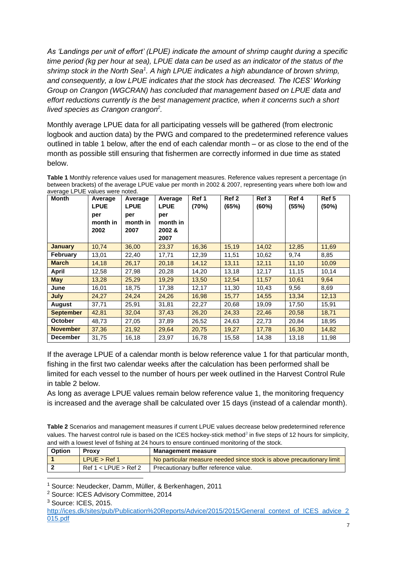*As 'Landings per unit of effort' (LPUE) indicate the amount of shrimp caught during a specific time period (kg per hour at sea), LPUE data can be used as an indicator of the status of the*  shrimp stock in the North Sea<sup>1</sup>. A high LPUE indicates a high abundance of brown shrimp, *and consequently, a low LPUE indicates that the stock has decreased. The ICES' Working Group on Crangon (WGCRAN) has concluded that management based on LPUE data and effort reductions currently is the best management practice, when it concerns such a short lived species as Crangon crangon<sup>2</sup> .*

Monthly average LPUE data for all participating vessels will be gathered (from electronic logbook and auction data) by the PWG and compared to the predetermined reference values outlined in table 1 below, after the end of each calendar month – or as close to the end of the month as possible still ensuring that fishermen are correctly informed in due time as stated below.

| average LPUE values were noted.<br>Month | Average<br><b>LPUE</b><br>per<br>month in<br>2002 | Average<br><b>LPUE</b><br>per<br>month in<br>2007 | Average<br><b>LPUE</b><br>per<br>month in<br>2002 &<br>2007 | Ref 1<br>(70%) | Ref 2<br>(65%) | Ref 3<br>(60%) | Ref 4<br>(55%) | Ref 5<br>(50%) |
|------------------------------------------|---------------------------------------------------|---------------------------------------------------|-------------------------------------------------------------|----------------|----------------|----------------|----------------|----------------|
| <b>January</b>                           | 10,74                                             | 36,00                                             | 23,37                                                       | 16,36          | 15,19          | 14,02          | 12,85          | 11,69          |
| <b>February</b>                          | 13,01                                             | 22,40                                             | 17,71                                                       | 12,39          | 11,51          | 10,62          | 9,74           | 8,85           |
| <b>March</b>                             | 14,18                                             | 26,17                                             | 20,18                                                       | 14,12          | 13,11          | 12,11          | 11,10          | 10,09          |
| <b>April</b>                             | 12,58                                             | 27,98                                             | 20,28                                                       | 14,20          | 13,18          | 12,17          | 11,15          | 10,14          |
| <b>May</b>                               | 13,28                                             | 25,29                                             | 19,29                                                       | 13,50          | 12,54          | 11,57          | 10,61          | 9,64           |
| June                                     | 16,01                                             | 18,75                                             | 17,38                                                       | 12,17          | 11,30          | 10,43          | 9,56           | 8,69           |
| July                                     | 24,27                                             | 24,24                                             | 24,26                                                       | 16,98          | 15,77          | 14,55          | 13,34          | 12,13          |
| August                                   | 37,71                                             | 25,91                                             | 31,81                                                       | 22,27          | 20,68          | 19,09          | 17,50          | 15,91          |
| <b>September</b>                         | 42,81                                             | 32,04                                             | 37,43                                                       | 26,20          | 24,33          | 22,46          | 20,58          | 18,71          |
| <b>October</b>                           | 48,73                                             | 27,05                                             | 37,89                                                       | 26,52          | 24,63          | 22,73          | 20,84          | 18,95          |
| <b>November</b>                          | 37,36                                             | 21,92                                             | 29,64                                                       | 20,75          | 19,27          | 17,78          | 16,30          | 14,82          |
| <b>December</b>                          | 31,75                                             | 16,18                                             | 23,97                                                       | 16,78          | 15,58          | 14,38          | 13,18          | 11,98          |

**Table 1** Monthly reference values used for management measures. Reference values represent a percentage (in between brackets) of the average LPUE value per month in 2002 & 2007, representing years where both low and average LPUE values were noted.

If the average LPUE of a calendar month is below reference value 1 for that particular month, fishing in the first two calendar weeks after the calculation has been performed shall be limited for each vessel to the number of hours per week outlined in the Harvest Control Rule in table 2 below.

As long as average LPUE values remain below reference value 1, the monitoring frequency is increased and the average shall be calculated over 15 days (instead of a calendar month).

**Table 2** Scenarios and management measures if current LPUE values decrease below predetermined reference values. The harvest control rule is based on the ICES hockey-stick method*<sup>3</sup>* in five steps of 12 hours for simplicity, and with a lowest level of fishing at 24 hours to ensure continued monitoring of the stock.

| Option | <b>Proxy</b>         | <b>Management measure</b>                                             |
|--------|----------------------|-----------------------------------------------------------------------|
|        | LPUE > Ref 1         | No particular measure needed since stock is above precautionary limit |
|        | Ref 1 < LPUE > Ref 2 | Precautionary buffer reference value.                                 |

<sup>1</sup> Source: Neudecker, Damm, Müller, & Berkenhagen, 2011

1

<sup>2</sup> Source: ICES Advisory Committee, 2014

<sup>3</sup> Source: ICES, 2015.

[http://ices.dk/sites/pub/Publication%20Reports/Advice/2015/2015/General\\_context\\_of\\_ICES\\_advice\\_2](http://ices.dk/sites/pub/Publication%20Reports/Advice/2015/2015/General_context_of_ICES_advice_2015.pdf) [015.pdf](http://ices.dk/sites/pub/Publication%20Reports/Advice/2015/2015/General_context_of_ICES_advice_2015.pdf)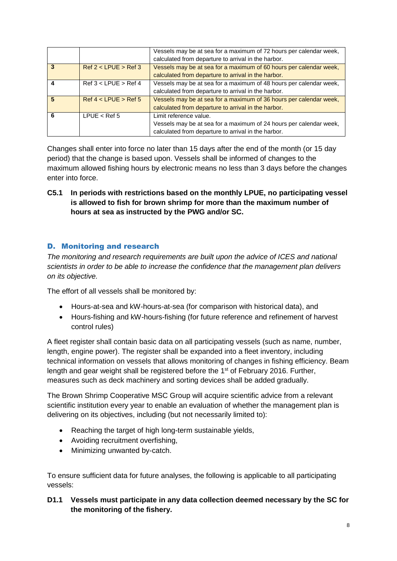|   |                      | Vessels may be at sea for a maximum of 72 hours per calendar week,<br>calculated from departure to arrival in the harbor.                           |
|---|----------------------|-----------------------------------------------------------------------------------------------------------------------------------------------------|
| 3 | Ref 2 < LPUE > Ref 3 | Vessels may be at sea for a maximum of 60 hours per calendar week,<br>calculated from departure to arrival in the harbor.                           |
|   | Ref 3 < LPUE > Ref 4 | Vessels may be at sea for a maximum of 48 hours per calendar week,<br>calculated from departure to arrival in the harbor.                           |
| 5 | Ref 4 < LPUE > Ref 5 | Vessels may be at sea for a maximum of 36 hours per calendar week,<br>calculated from departure to arrival in the harbor.                           |
| 6 | $L$ PUE < Ref 5      | Limit reference value.<br>Vessels may be at sea for a maximum of 24 hours per calendar week,<br>calculated from departure to arrival in the harbor. |

Changes shall enter into force no later than 15 days after the end of the month (or 15 day period) that the change is based upon. Vessels shall be informed of changes to the maximum allowed fishing hours by electronic means no less than 3 days before the changes enter into force.

**C5.1 In periods with restrictions based on the monthly LPUE, no participating vessel is allowed to fish for brown shrimp for more than the maximum number of hours at sea as instructed by the PWG and/or SC.**

# <span id="page-7-0"></span>D. Monitoring and research

*The monitoring and research requirements are built upon the advice of ICES and national scientists in order to be able to increase the confidence that the management plan delivers on its objective.*

The effort of all vessels shall be monitored by:

- Hours-at-sea and kW-hours-at-sea (for comparison with historical data), and
- Hours-fishing and kW-hours-fishing (for future reference and refinement of harvest control rules)

A fleet register shall contain basic data on all participating vessels (such as name, number, length, engine power). The register shall be expanded into a fleet inventory, including technical information on vessels that allows monitoring of changes in fishing efficiency. Beam length and gear weight shall be registered before the 1<sup>st</sup> of February 2016. Further, measures such as deck machinery and sorting devices shall be added gradually.

The Brown Shrimp Cooperative MSC Group will acquire scientific advice from a relevant scientific institution every year to enable an evaluation of whether the management plan is delivering on its objectives, including (but not necessarily limited to):

- Reaching the target of high long-term sustainable yields,
- Avoiding recruitment overfishing,
- Minimizing unwanted by-catch.

To ensure sufficient data for future analyses, the following is applicable to all participating vessels:

# **D1.1 Vessels must participate in any data collection deemed necessary by the SC for the monitoring of the fishery.**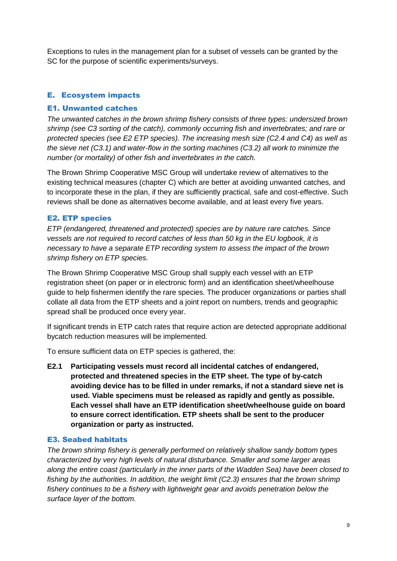Exceptions to rules in the management plan for a subset of vessels can be granted by the SC for the purpose of scientific experiments/surveys.

# <span id="page-8-0"></span>E. Ecosystem impacts

#### <span id="page-8-1"></span>E1. Unwanted catches

*The unwanted catches in the brown shrimp fishery consists of three types: undersized brown shrimp (see C3 sorting of the catch), commonly occurring fish and invertebrates; and rare or protected species (see E2 ETP species). The increasing mesh size (C2.4 and C4) as well as the sieve net (C3.1) and water-flow in the sorting machines (C3.2) all work to minimize the number (or mortality) of other fish and invertebrates in the catch.*

The Brown Shrimp Cooperative MSC Group will undertake review of alternatives to the existing technical measures (chapter C) which are better at avoiding unwanted catches, and to incorporate these in the plan, if they are sufficiently practical, safe and cost-effective. Such reviews shall be done as alternatives become available, and at least every five years.

#### <span id="page-8-2"></span>E2. ETP species

*ETP (endangered, threatened and protected) species are by nature rare catches. Since vessels are not required to record catches of less than 50 kg in the EU logbook, it is necessary to have a separate ETP recording system to assess the impact of the brown shrimp fishery on ETP species.*

The Brown Shrimp Cooperative MSC Group shall supply each vessel with an ETP registration sheet (on paper or in electronic form) and an identification sheet/wheelhouse guide to help fishermen identify the rare species. The producer organizations or parties shall collate all data from the ETP sheets and a joint report on numbers, trends and geographic spread shall be produced once every year.

If significant trends in ETP catch rates that require action are detected appropriate additional bycatch reduction measures will be implemented.

To ensure sufficient data on ETP species is gathered, the:

**E2.1 Participating vessels must record all incidental catches of endangered, protected and threatened species in the ETP sheet. The type of by-catch avoiding device has to be filled in under remarks, if not a standard sieve net is used. Viable specimens must be released as rapidly and gently as possible. Each vessel shall have an ETP identification sheet/wheelhouse guide on board to ensure correct identification. ETP sheets shall be sent to the producer organization or party as instructed.** 

#### <span id="page-8-3"></span>E3. Seabed habitats

*The brown shrimp fishery is generally performed on relatively shallow sandy bottom types characterized by very high levels of natural disturbance. Smaller and some larger areas along the entire coast (particularly in the inner parts of the Wadden Sea) have been closed to fishing by the authorities. In addition, the weight limit (C2.3) ensures that the brown shrimp fishery continues to be a fishery with lightweight gear and avoids penetration below the surface layer of the bottom.*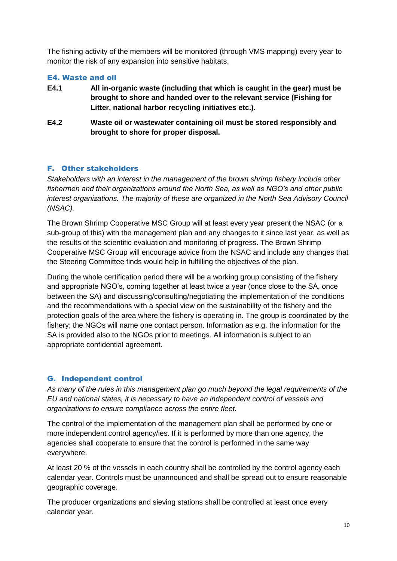The fishing activity of the members will be monitored (through VMS mapping) every year to monitor the risk of any expansion into sensitive habitats.

## <span id="page-9-0"></span>E4. Waste and oil

- **E4.1 All in-organic waste (including that which is caught in the gear) must be brought to shore and handed over to the relevant service (Fishing for Litter, national harbor recycling initiatives etc.).**
- **E4.2 Waste oil or wastewater containing oil must be stored responsibly and brought to shore for proper disposal.**

# <span id="page-9-1"></span>F. Other stakeholders

*Stakeholders with an interest in the management of the brown shrimp fishery include other fishermen and their organizations around the North Sea, as well as NGO's and other public interest organizations. The majority of these are organized in the North Sea Advisory Council (NSAC).*

The Brown Shrimp Cooperative MSC Group will at least every year present the NSAC (or a sub-group of this) with the management plan and any changes to it since last year, as well as the results of the scientific evaluation and monitoring of progress. The Brown Shrimp Cooperative MSC Group will encourage advice from the NSAC and include any changes that the Steering Committee finds would help in fulfilling the objectives of the plan.

During the whole certification period there will be a working group consisting of the fishery and appropriate NGO's, coming together at least twice a year (once close to the SA, once between the SA) and discussing/consulting/negotiating the implementation of the conditions and the recommendations with a special view on the sustainability of the fishery and the protection goals of the area where the fishery is operating in. The group is coordinated by the fishery; the NGOs will name one contact person. Information as e.g. the information for the SA is provided also to the NGOs prior to meetings. All information is subject to an appropriate confidential agreement.

## <span id="page-9-2"></span>G. Independent control

*As many of the rules in this management plan go much beyond the legal requirements of the EU and national states, it is necessary to have an independent control of vessels and organizations to ensure compliance across the entire fleet.*

The control of the implementation of the management plan shall be performed by one or more independent control agency/ies. If it is performed by more than one agency, the agencies shall cooperate to ensure that the control is performed in the same way everywhere.

At least 20 % of the vessels in each country shall be controlled by the control agency each calendar year. Controls must be unannounced and shall be spread out to ensure reasonable geographic coverage.

The producer organizations and sieving stations shall be controlled at least once every calendar year.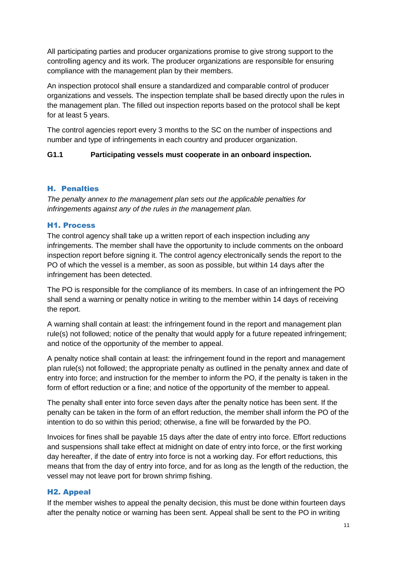All participating parties and producer organizations promise to give strong support to the controlling agency and its work. The producer organizations are responsible for ensuring compliance with the management plan by their members.

An inspection protocol shall ensure a standardized and comparable control of producer organizations and vessels. The inspection template shall be based directly upon the rules in the management plan. The filled out inspection reports based on the protocol shall be kept for at least 5 years.

The control agencies report every 3 months to the SC on the number of inspections and number and type of infringements in each country and producer organization.

## **G1.1 Participating vessels must cooperate in an onboard inspection.**

## <span id="page-10-0"></span>H. Penalties

*The penalty annex to the management plan sets out the applicable penalties for infringements against any of the rules in the management plan.*

#### <span id="page-10-1"></span>H1. Process

The control agency shall take up a written report of each inspection including any infringements. The member shall have the opportunity to include comments on the onboard inspection report before signing it. The control agency electronically sends the report to the PO of which the vessel is a member, as soon as possible, but within 14 days after the infringement has been detected.

The PO is responsible for the compliance of its members. In case of an infringement the PO shall send a warning or penalty notice in writing to the member within 14 days of receiving the report.

A warning shall contain at least: the infringement found in the report and management plan rule(s) not followed; notice of the penalty that would apply for a future repeated infringement; and notice of the opportunity of the member to appeal.

A penalty notice shall contain at least: the infringement found in the report and management plan rule(s) not followed; the appropriate penalty as outlined in the penalty annex and date of entry into force; and instruction for the member to inform the PO, if the penalty is taken in the form of effort reduction or a fine; and notice of the opportunity of the member to appeal.

The penalty shall enter into force seven days after the penalty notice has been sent. If the penalty can be taken in the form of an effort reduction, the member shall inform the PO of the intention to do so within this period; otherwise, a fine will be forwarded by the PO.

Invoices for fines shall be payable 15 days after the date of entry into force. Effort reductions and suspensions shall take effect at midnight on date of entry into force, or the first working day hereafter, if the date of entry into force is not a working day. For effort reductions, this means that from the day of entry into force, and for as long as the length of the reduction, the vessel may not leave port for brown shrimp fishing.

## <span id="page-10-2"></span>H2. Appeal

If the member wishes to appeal the penalty decision, this must be done within fourteen days after the penalty notice or warning has been sent. Appeal shall be sent to the PO in writing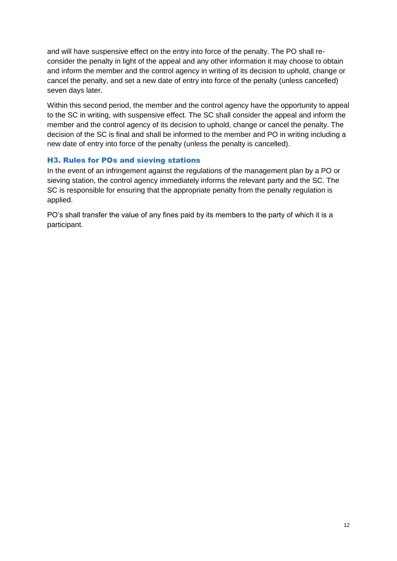and will have suspensive effect on the entry into force of the penalty. The PO shall reconsider the penalty in light of the appeal and any other information it may choose to obtain and inform the member and the control agency in writing of its decision to uphold, change or cancel the penalty, and set a new date of entry into force of the penalty (unless cancelled) seven days later.

Within this second period, the member and the control agency have the opportunity to appeal to the SC in writing, with suspensive effect. The SC shall consider the appeal and inform the member and the control agency of its decision to uphold, change or cancel the penalty. The decision of the SC is final and shall be informed to the member and PO in writing including a new date of entry into force of the penalty (unless the penalty is cancelled).

# <span id="page-11-0"></span>H3. Rules for POs and sieving stations

In the event of an infringement against the regulations of the management plan by a PO or sieving station, the control agency immediately informs the relevant party and the SC. The SC is responsible for ensuring that the appropriate penalty from the penalty regulation is applied.

PO's shall transfer the value of any fines paid by its members to the party of which it is a participant.